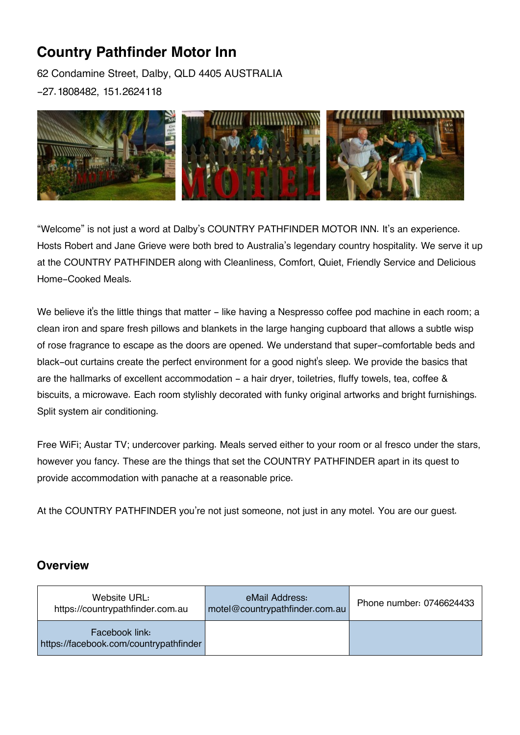# **Country Pathfinder Motor Inn**

62 Condamine Street, Dalby, QLD 4405 AUSTRALIA -27.1808482, 151.2624118



"Welcome" is not just a word at Dalby's COUNTRY PATHFINDER MOTOR INN. It's an experience. Hosts Robert and Jane Grieve were both bred to Australia's legendary country hospitality. We serve it up at the COUNTRY PATHFINDER along with Cleanliness, Comfort, Quiet, Friendly Service and Delicious Home-Cooked Meals.

We believe it's the little things that matter - like having a Nespresso coffee pod machine in each room; a clean iron and spare fresh pillows and blankets in the large hanging cupboard that allows a subtle wisp of rose fragrance to escape as the doors are opened. We understand that super-comfortable beds and black-out curtains create the perfect environment for a good night's sleep. We provide the basics that are the hallmarks of excellent accommodation - a hair dryer, toiletries, fluffy towels, tea, coffee & biscuits, a microwave. Each room stylishly decorated with funky original artworks and bright furnishings. Split system air conditioning.

Free WiFi; Austar TV; undercover parking. Meals served either to your room or al fresco under the stars, however you fancy. These are the things that set the COUNTRY PATHFINDER apart in its quest to provide accommodation with panache at a reasonable price.

At the COUNTRY PATHFINDER you're not just someone, not just in any motel. You are our quest.

### **Overview**

| Website URL:<br>https://countrypathfinder.com.au         | eMail Address:<br>motel@countrypathfinder.com.au | Phone number: 0746624433 |
|----------------------------------------------------------|--------------------------------------------------|--------------------------|
| Facebook link:<br>https://facebook.com/countrypathfinder |                                                  |                          |